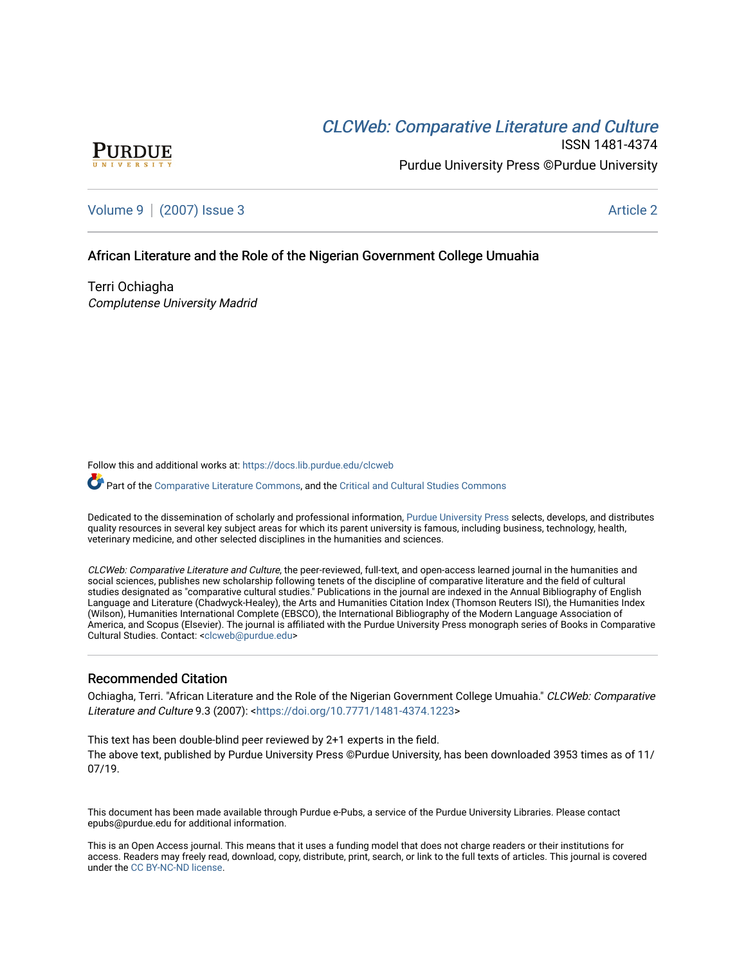# CLCW[eb: Comparative Liter](https://docs.lib.purdue.edu/clcweb)ature and Culture



ISSN 1481-4374 Purdue University Press ©Purdue University

[Volume 9](https://docs.lib.purdue.edu/clcweb/vol9) | [\(2007\) Issue 3](https://docs.lib.purdue.edu/clcweb/vol9/iss3) Article 2

# African Literature and the Role of the Nigerian Government College Umuahia

Terri Ochiagha Complutense University Madrid

Follow this and additional works at: [https://docs.lib.purdue.edu/clcweb](https://docs.lib.purdue.edu/clcweb?utm_source=docs.lib.purdue.edu%2Fclcweb%2Fvol9%2Fiss3%2F2&utm_medium=PDF&utm_campaign=PDFCoverPages)

Part of the [Comparative Literature Commons,](http://network.bepress.com/hgg/discipline/454?utm_source=docs.lib.purdue.edu%2Fclcweb%2Fvol9%2Fiss3%2F2&utm_medium=PDF&utm_campaign=PDFCoverPages) and the Critical and Cultural Studies Commons

Dedicated to the dissemination of scholarly and professional information, [Purdue University Press](http://www.thepress.purdue.edu/) selects, develops, and distributes quality resources in several key subject areas for which its parent university is famous, including business, technology, health, veterinary medicine, and other selected disciplines in the humanities and sciences.

CLCWeb: Comparative Literature and Culture, the peer-reviewed, full-text, and open-access learned journal in the humanities and social sciences, publishes new scholarship following tenets of the discipline of comparative literature and the field of cultural studies designated as "comparative cultural studies." Publications in the journal are indexed in the Annual Bibliography of English Language and Literature (Chadwyck-Healey), the Arts and Humanities Citation Index (Thomson Reuters ISI), the Humanities Index (Wilson), Humanities International Complete (EBSCO), the International Bibliography of the Modern Language Association of America, and Scopus (Elsevier). The journal is affiliated with the Purdue University Press monograph series of Books in Comparative Cultural Studies. Contact: [<clcweb@purdue.edu](mailto:clcweb@purdue.edu)>

# Recommended Citation

Ochiagha, Terri. "African Literature and the Role of the Nigerian Government College Umuahia." CLCWeb: Comparative Literature and Culture 9.3 (2007): [<https://doi.org/10.7771/1481-4374.1223](https://doi.org/10.7771/1481-4374.1223)>

This text has been double-blind peer reviewed by 2+1 experts in the field. The above text, published by Purdue University Press ©Purdue University, has been downloaded 3953 times as of 11/ 07/19.

This document has been made available through Purdue e-Pubs, a service of the Purdue University Libraries. Please contact epubs@purdue.edu for additional information.

This is an Open Access journal. This means that it uses a funding model that does not charge readers or their institutions for access. Readers may freely read, download, copy, distribute, print, search, or link to the full texts of articles. This journal is covered under the [CC BY-NC-ND license.](https://creativecommons.org/licenses/by-nc-nd/4.0/)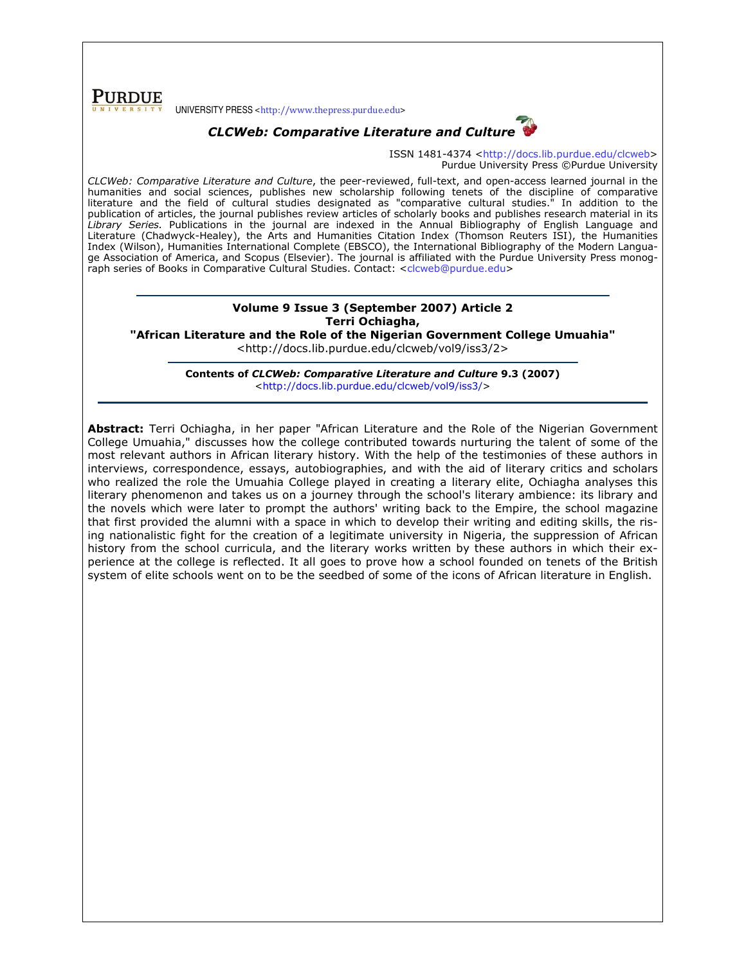**PURDUE** UNIVERSITY PRESS <http://www.thepress.purdue.edu>





ISSN 1481-4374 <http://docs.lib.purdue.edu/clcweb> Purdue University Press ©Purdue University

CLCWeb: Comparative Literature and Culture, the peer-reviewed, full-text, and open-access learned journal in the humanities and social sciences, publishes new scholarship following tenets of the discipline of comparative literature and the field of cultural studies designated as "comparative cultural studies." In addition to the publication of articles, the journal publishes review articles of scholarly books and publishes research material in its Library Series. Publications in the journal are indexed in the Annual Bibliography of English Language and Literature (Chadwyck-Healey), the Arts and Humanities Citation Index (Thomson Reuters ISI), the Humanities Index (Wilson), Humanities International Complete (EBSCO), the International Bibliography of the Modern Language Association of America, and Scopus (Elsevier). The journal is affiliated with the Purdue University Press monograph series of Books in Comparative Cultural Studies. Contact: <clcweb@purdue.edu>

## Volume 9 Issue 3 (September 2007) Article 2 Terri Ochiagha,

"African Literature and the Role of the Nigerian Government College Umuahia"

<http://docs.lib.purdue.edu/clcweb/vol9/iss3/2>

Contents of CLCWeb: Comparative Literature and Culture 9.3 (2007) <http://docs.lib.purdue.edu/clcweb/vol9/iss3/>

Abstract: Terri Ochiagha, in her paper "African Literature and the Role of the Nigerian Government College Umuahia," discusses how the college contributed towards nurturing the talent of some of the most relevant authors in African literary history. With the help of the testimonies of these authors in interviews, correspondence, essays, autobiographies, and with the aid of literary critics and scholars who realized the role the Umuahia College played in creating a literary elite, Ochiagha analyses this literary phenomenon and takes us on a journey through the school's literary ambience: its library and the novels which were later to prompt the authors' writing back to the Empire, the school magazine that first provided the alumni with a space in which to develop their writing and editing skills, the rising nationalistic fight for the creation of a legitimate university in Nigeria, the suppression of African history from the school curricula, and the literary works written by these authors in which their experience at the college is reflected. It all goes to prove how a school founded on tenets of the British system of elite schools went on to be the seedbed of some of the icons of African literature in English.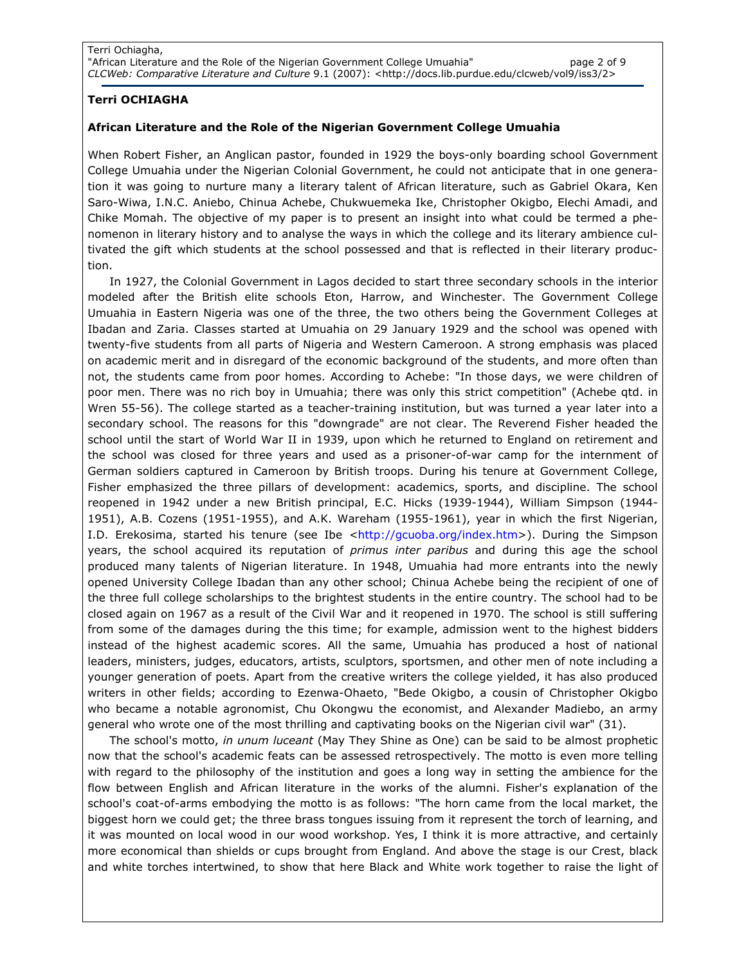### Terri OCHIAGHA

### African Literature and the Role of the Nigerian Government College Umuahia

When Robert Fisher, an Anglican pastor, founded in 1929 the boys-only boarding school Government College Umuahia under the Nigerian Colonial Government, he could not anticipate that in one generation it was going to nurture many a literary talent of African literature, such as Gabriel Okara, Ken Saro-Wiwa, I.N.C. Aniebo, Chinua Achebe, Chukwuemeka Ike, Christopher Okigbo, Elechi Amadi, and Chike Momah. The objective of my paper is to present an insight into what could be termed a phenomenon in literary history and to analyse the ways in which the college and its literary ambience cultivated the gift which students at the school possessed and that is reflected in their literary production.

In 1927, the Colonial Government in Lagos decided to start three secondary schools in the interior modeled after the British elite schools Eton, Harrow, and Winchester. The Government College Umuahia in Eastern Nigeria was one of the three, the two others being the Government Colleges at Ibadan and Zaria. Classes started at Umuahia on 29 January 1929 and the school was opened with twenty-five students from all parts of Nigeria and Western Cameroon. A strong emphasis was placed on academic merit and in disregard of the economic background of the students, and more often than not, the students came from poor homes. According to Achebe: "In those days, we were children of poor men. There was no rich boy in Umuahia; there was only this strict competition" (Achebe qtd. in Wren 55-56). The college started as a teacher-training institution, but was turned a year later into a secondary school. The reasons for this "downgrade" are not clear. The Reverend Fisher headed the school until the start of World War II in 1939, upon which he returned to England on retirement and the school was closed for three years and used as a prisoner-of-war camp for the internment of German soldiers captured in Cameroon by British troops. During his tenure at Government College, Fisher emphasized the three pillars of development: academics, sports, and discipline. The school reopened in 1942 under a new British principal, E.C. Hicks (1939-1944), William Simpson (1944- 1951), A.B. Cozens (1951-1955), and A.K. Wareham (1955-1961), year in which the first Nigerian, I.D. Erekosima, started his tenure (see Ibe <http://gcuoba.org/index.htm>). During the Simpson years, the school acquired its reputation of primus inter paribus and during this age the school produced many talents of Nigerian literature. In 1948, Umuahia had more entrants into the newly opened University College Ibadan than any other school; Chinua Achebe being the recipient of one of the three full college scholarships to the brightest students in the entire country. The school had to be closed again on 1967 as a result of the Civil War and it reopened in 1970. The school is still suffering from some of the damages during the this time; for example, admission went to the highest bidders instead of the highest academic scores. All the same, Umuahia has produced a host of national leaders, ministers, judges, educators, artists, sculptors, sportsmen, and other men of note including a younger generation of poets. Apart from the creative writers the college yielded, it has also produced writers in other fields; according to Ezenwa-Ohaeto, "Bede Okigbo, a cousin of Christopher Okigbo who became a notable agronomist, Chu Okongwu the economist, and Alexander Madiebo, an army general who wrote one of the most thrilling and captivating books on the Nigerian civil war" (31).

The school's motto, in unum luceant (May They Shine as One) can be said to be almost prophetic now that the school's academic feats can be assessed retrospectively. The motto is even more telling with regard to the philosophy of the institution and goes a long way in setting the ambience for the flow between English and African literature in the works of the alumni. Fisher's explanation of the school's coat-of-arms embodying the motto is as follows: "The horn came from the local market, the biggest horn we could get; the three brass tongues issuing from it represent the torch of learning, and it was mounted on local wood in our wood workshop. Yes, I think it is more attractive, and certainly more economical than shields or cups brought from England. And above the stage is our Crest, black and white torches intertwined, to show that here Black and White work together to raise the light of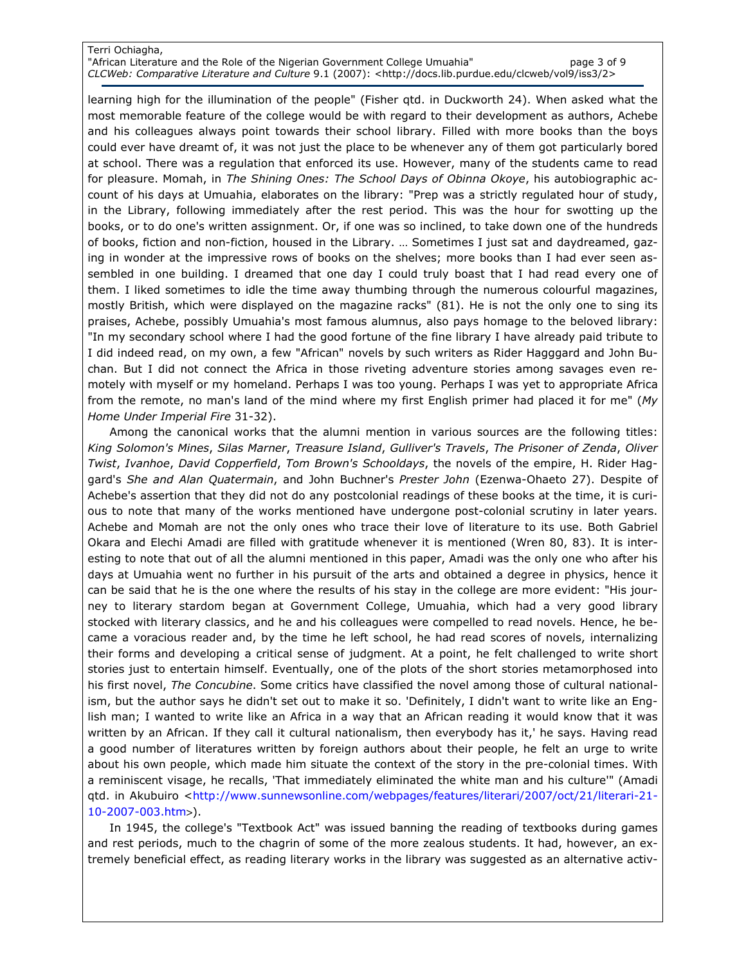#### Terri Ochiagha, "African Literature and the Role of the Nigerian Government College Umuahia" page 3 of 9 CLCWeb: Comparative Literature and Culture 9.1 (2007): <http://docs.lib.purdue.edu/clcweb/vol9/iss3/2>

learning high for the illumination of the people" (Fisher qtd. in Duckworth 24). When asked what the most memorable feature of the college would be with regard to their development as authors, Achebe and his colleagues always point towards their school library. Filled with more books than the boys could ever have dreamt of, it was not just the place to be whenever any of them got particularly bored at school. There was a regulation that enforced its use. However, many of the students came to read for pleasure. Momah, in The Shining Ones: The School Days of Obinna Okoye, his autobiographic account of his days at Umuahia, elaborates on the library: "Prep was a strictly regulated hour of study, in the Library, following immediately after the rest period. This was the hour for swotting up the books, or to do one's written assignment. Or, if one was so inclined, to take down one of the hundreds of books, fiction and non-fiction, housed in the Library. … Sometimes I just sat and daydreamed, gazing in wonder at the impressive rows of books on the shelves; more books than I had ever seen assembled in one building. I dreamed that one day I could truly boast that I had read every one of them. I liked sometimes to idle the time away thumbing through the numerous colourful magazines, mostly British, which were displayed on the magazine racks" (81). He is not the only one to sing its praises, Achebe, possibly Umuahia's most famous alumnus, also pays homage to the beloved library: "In my secondary school where I had the good fortune of the fine library I have already paid tribute to I did indeed read, on my own, a few "African" novels by such writers as Rider Hagggard and John Buchan. But I did not connect the Africa in those riveting adventure stories among savages even remotely with myself or my homeland. Perhaps I was too young. Perhaps I was yet to appropriate Africa from the remote, no man's land of the mind where my first English primer had placed it for me" (My Home Under Imperial Fire 31-32).

Among the canonical works that the alumni mention in various sources are the following titles: King Solomon's Mines, Silas Marner, Treasure Island, Gulliver's Travels, The Prisoner of Zenda, Oliver Twist, Ivanhoe, David Copperfield, Tom Brown's Schooldays, the novels of the empire, H. Rider Haggard's She and Alan Quatermain, and John Buchner's Prester John (Ezenwa-Ohaeto 27). Despite of Achebe's assertion that they did not do any postcolonial readings of these books at the time, it is curious to note that many of the works mentioned have undergone post-colonial scrutiny in later years. Achebe and Momah are not the only ones who trace their love of literature to its use. Both Gabriel Okara and Elechi Amadi are filled with gratitude whenever it is mentioned (Wren 80, 83). It is interesting to note that out of all the alumni mentioned in this paper, Amadi was the only one who after his days at Umuahia went no further in his pursuit of the arts and obtained a degree in physics, hence it can be said that he is the one where the results of his stay in the college are more evident: "His journey to literary stardom began at Government College, Umuahia, which had a very good library stocked with literary classics, and he and his colleagues were compelled to read novels. Hence, he became a voracious reader and, by the time he left school, he had read scores of novels, internalizing their forms and developing a critical sense of judgment. At a point, he felt challenged to write short stories just to entertain himself. Eventually, one of the plots of the short stories metamorphosed into his first novel, The Concubine. Some critics have classified the novel among those of cultural nationalism, but the author says he didn't set out to make it so. 'Definitely, I didn't want to write like an English man; I wanted to write like an Africa in a way that an African reading it would know that it was written by an African. If they call it cultural nationalism, then everybody has it,' he says. Having read a good number of literatures written by foreign authors about their people, he felt an urge to write about his own people, which made him situate the context of the story in the pre-colonial times. With a reminiscent visage, he recalls, 'That immediately eliminated the white man and his culture'" (Amadi qtd. in Akubuiro <http://www.sunnewsonline.com/webpages/features/literari/2007/oct/21/literari-21-10-2007-003.htm>).

In 1945, the college's "Textbook Act" was issued banning the reading of textbooks during games and rest periods, much to the chagrin of some of the more zealous students. It had, however, an extremely beneficial effect, as reading literary works in the library was suggested as an alternative activ-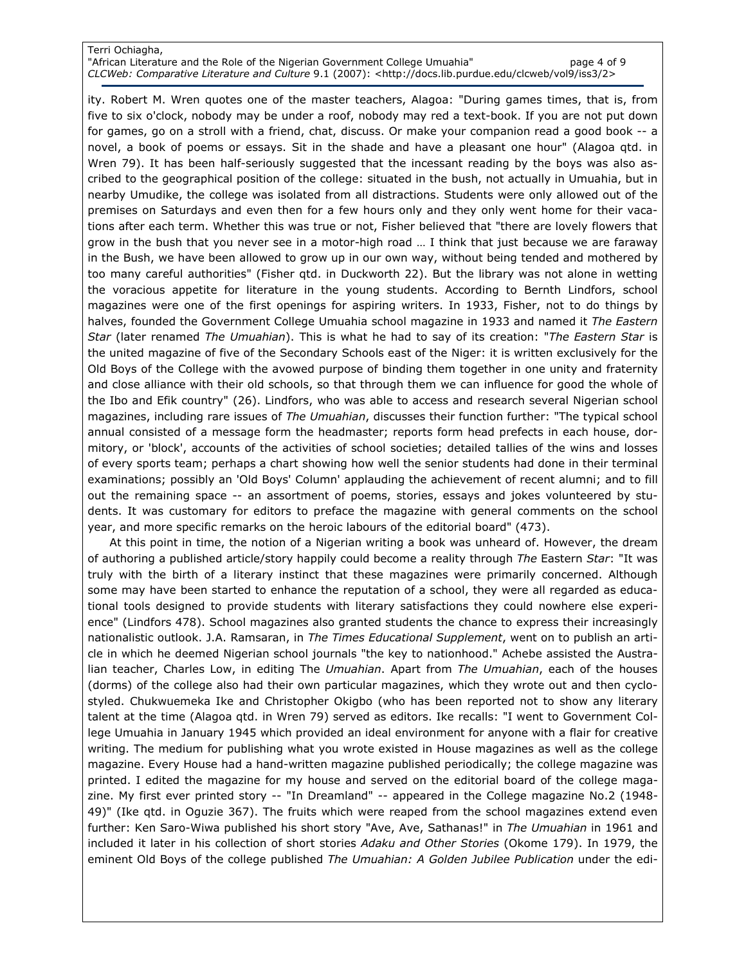### Terri Ochiagha,

"African Literature and the Role of the Nigerian Government College Umuahia" page 4 of 9 CLCWeb: Comparative Literature and Culture 9.1 (2007): <http://docs.lib.purdue.edu/clcweb/vol9/iss3/2>

ity. Robert M. Wren quotes one of the master teachers, Alagoa: "During games times, that is, from five to six o'clock, nobody may be under a roof, nobody may red a text-book. If you are not put down for games, go on a stroll with a friend, chat, discuss. Or make your companion read a good book -- a novel, a book of poems or essays. Sit in the shade and have a pleasant one hour" (Alagoa qtd. in Wren 79). It has been half-seriously suggested that the incessant reading by the boys was also ascribed to the geographical position of the college: situated in the bush, not actually in Umuahia, but in nearby Umudike, the college was isolated from all distractions. Students were only allowed out of the premises on Saturdays and even then for a few hours only and they only went home for their vacations after each term. Whether this was true or not, Fisher believed that "there are lovely flowers that grow in the bush that you never see in a motor-high road … I think that just because we are faraway in the Bush, we have been allowed to grow up in our own way, without being tended and mothered by too many careful authorities" (Fisher qtd. in Duckworth 22). But the library was not alone in wetting the voracious appetite for literature in the young students. According to Bernth Lindfors, school magazines were one of the first openings for aspiring writers. In 1933, Fisher, not to do things by halves, founded the Government College Umuahia school magazine in 1933 and named it The Eastern Star (later renamed The Umuahian). This is what he had to say of its creation: "The Eastern Star is the united magazine of five of the Secondary Schools east of the Niger: it is written exclusively for the Old Boys of the College with the avowed purpose of binding them together in one unity and fraternity and close alliance with their old schools, so that through them we can influence for good the whole of the Ibo and Efik country" (26). Lindfors, who was able to access and research several Nigerian school magazines, including rare issues of The Umuahian, discusses their function further: "The typical school annual consisted of a message form the headmaster; reports form head prefects in each house, dormitory, or 'block', accounts of the activities of school societies; detailed tallies of the wins and losses of every sports team; perhaps a chart showing how well the senior students had done in their terminal examinations; possibly an 'Old Boys' Column' applauding the achievement of recent alumni; and to fill out the remaining space -- an assortment of poems, stories, essays and jokes volunteered by students. It was customary for editors to preface the magazine with general comments on the school year, and more specific remarks on the heroic labours of the editorial board" (473).

At this point in time, the notion of a Nigerian writing a book was unheard of. However, the dream of authoring a published article/story happily could become a reality through The Eastern Star: "It was truly with the birth of a literary instinct that these magazines were primarily concerned. Although some may have been started to enhance the reputation of a school, they were all regarded as educational tools designed to provide students with literary satisfactions they could nowhere else experience" (Lindfors 478). School magazines also granted students the chance to express their increasingly nationalistic outlook. J.A. Ramsaran, in The Times Educational Supplement, went on to publish an article in which he deemed Nigerian school journals "the key to nationhood." Achebe assisted the Australian teacher, Charles Low, in editing The Umuahian. Apart from The Umuahian, each of the houses (dorms) of the college also had their own particular magazines, which they wrote out and then cyclostyled. Chukwuemeka Ike and Christopher Okigbo (who has been reported not to show any literary talent at the time (Alagoa qtd. in Wren 79) served as editors. Ike recalls: "I went to Government College Umuahia in January 1945 which provided an ideal environment for anyone with a flair for creative writing. The medium for publishing what you wrote existed in House magazines as well as the college magazine. Every House had a hand-written magazine published periodically; the college magazine was printed. I edited the magazine for my house and served on the editorial board of the college magazine. My first ever printed story -- "In Dreamland" -- appeared in the College magazine No.2 (1948-49)" (Ike qtd. in Oguzie 367). The fruits which were reaped from the school magazines extend even further: Ken Saro-Wiwa published his short story "Ave, Ave, Sathanas!" in The Umuahian in 1961 and included it later in his collection of short stories Adaku and Other Stories (Okome 179). In 1979, the eminent Old Boys of the college published The Umuahian: A Golden Jubilee Publication under the edi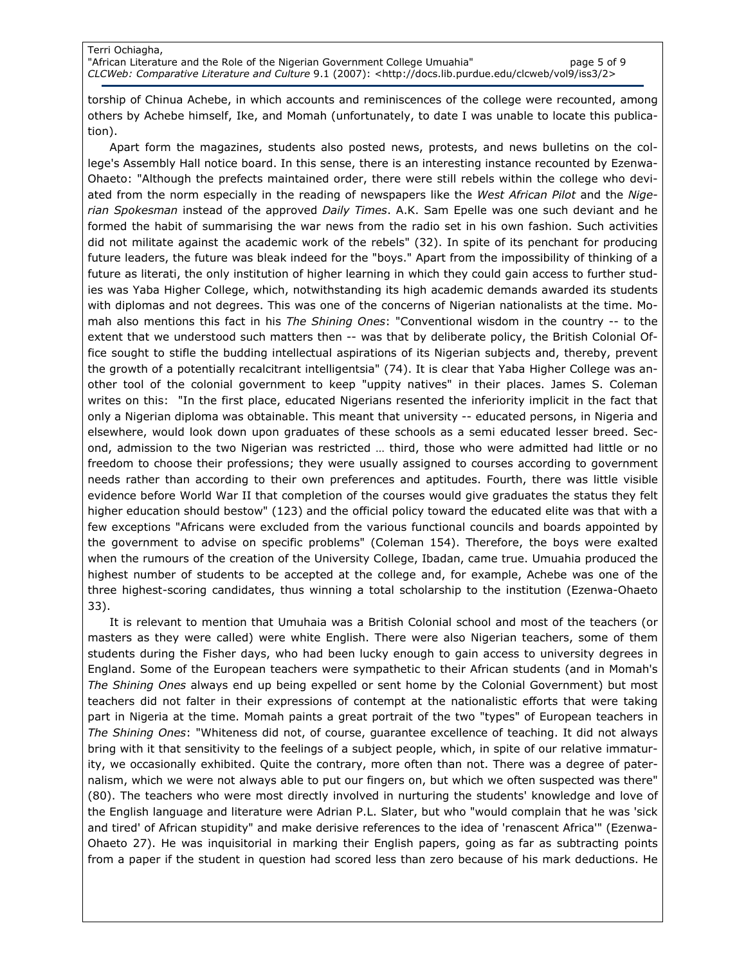torship of Chinua Achebe, in which accounts and reminiscences of the college were recounted, among others by Achebe himself, Ike, and Momah (unfortunately, to date I was unable to locate this publication).

Apart form the magazines, students also posted news, protests, and news bulletins on the college's Assembly Hall notice board. In this sense, there is an interesting instance recounted by Ezenwa-Ohaeto: "Although the prefects maintained order, there were still rebels within the college who deviated from the norm especially in the reading of newspapers like the West African Pilot and the Nigerian Spokesman instead of the approved Daily Times. A.K. Sam Epelle was one such deviant and he formed the habit of summarising the war news from the radio set in his own fashion. Such activities did not militate against the academic work of the rebels" (32). In spite of its penchant for producing future leaders, the future was bleak indeed for the "boys." Apart from the impossibility of thinking of a future as literati, the only institution of higher learning in which they could gain access to further studies was Yaba Higher College, which, notwithstanding its high academic demands awarded its students with diplomas and not degrees. This was one of the concerns of Nigerian nationalists at the time. Momah also mentions this fact in his The Shining Ones: "Conventional wisdom in the country -- to the extent that we understood such matters then -- was that by deliberate policy, the British Colonial Office sought to stifle the budding intellectual aspirations of its Nigerian subjects and, thereby, prevent the growth of a potentially recalcitrant intelligentsia" (74). It is clear that Yaba Higher College was another tool of the colonial government to keep "uppity natives" in their places. James S. Coleman writes on this: "In the first place, educated Nigerians resented the inferiority implicit in the fact that only a Nigerian diploma was obtainable. This meant that university -- educated persons, in Nigeria and elsewhere, would look down upon graduates of these schools as a semi educated lesser breed. Second, admission to the two Nigerian was restricted … third, those who were admitted had little or no freedom to choose their professions; they were usually assigned to courses according to government needs rather than according to their own preferences and aptitudes. Fourth, there was little visible evidence before World War II that completion of the courses would give graduates the status they felt higher education should bestow" (123) and the official policy toward the educated elite was that with a few exceptions "Africans were excluded from the various functional councils and boards appointed by the government to advise on specific problems" (Coleman 154). Therefore, the boys were exalted when the rumours of the creation of the University College, Ibadan, came true. Umuahia produced the highest number of students to be accepted at the college and, for example, Achebe was one of the three highest-scoring candidates, thus winning a total scholarship to the institution (Ezenwa-Ohaeto 33).

It is relevant to mention that Umuhaia was a British Colonial school and most of the teachers (or masters as they were called) were white English. There were also Nigerian teachers, some of them students during the Fisher days, who had been lucky enough to gain access to university degrees in England. Some of the European teachers were sympathetic to their African students (and in Momah's The Shining Ones always end up being expelled or sent home by the Colonial Government) but most teachers did not falter in their expressions of contempt at the nationalistic efforts that were taking part in Nigeria at the time. Momah paints a great portrait of the two "types" of European teachers in The Shining Ones: "Whiteness did not, of course, guarantee excellence of teaching. It did not always bring with it that sensitivity to the feelings of a subject people, which, in spite of our relative immaturity, we occasionally exhibited. Quite the contrary, more often than not. There was a degree of paternalism, which we were not always able to put our fingers on, but which we often suspected was there" (80). The teachers who were most directly involved in nurturing the students' knowledge and love of the English language and literature were Adrian P.L. Slater, but who "would complain that he was 'sick and tired' of African stupidity" and make derisive references to the idea of 'renascent Africa'" (Ezenwa-Ohaeto 27). He was inquisitorial in marking their English papers, going as far as subtracting points from a paper if the student in question had scored less than zero because of his mark deductions. He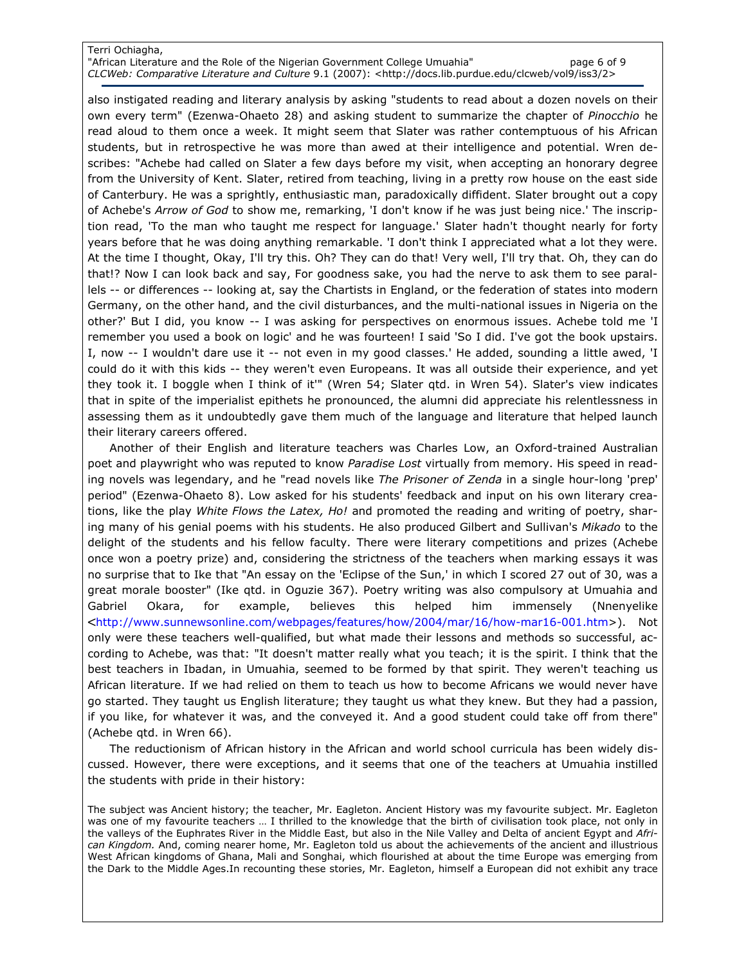### Terri Ochiagha,

"African Literature and the Role of the Nigerian Government College Umuahia" page 6 of 9 CLCWeb: Comparative Literature and Culture 9.1 (2007): <http://docs.lib.purdue.edu/clcweb/vol9/iss3/2>

also instigated reading and literary analysis by asking "students to read about a dozen novels on their own every term" (Ezenwa-Ohaeto 28) and asking student to summarize the chapter of Pinocchio he read aloud to them once a week. It might seem that Slater was rather contemptuous of his African students, but in retrospective he was more than awed at their intelligence and potential. Wren describes: "Achebe had called on Slater a few days before my visit, when accepting an honorary degree from the University of Kent. Slater, retired from teaching, living in a pretty row house on the east side of Canterbury. He was a sprightly, enthusiastic man, paradoxically diffident. Slater brought out a copy of Achebe's Arrow of God to show me, remarking, 'I don't know if he was just being nice.' The inscription read, 'To the man who taught me respect for language.' Slater hadn't thought nearly for forty years before that he was doing anything remarkable. 'I don't think I appreciated what a lot they were. At the time I thought, Okay, I'll try this. Oh? They can do that! Very well, I'll try that. Oh, they can do that!? Now I can look back and say, For goodness sake, you had the nerve to ask them to see parallels -- or differences -- looking at, say the Chartists in England, or the federation of states into modern Germany, on the other hand, and the civil disturbances, and the multi-national issues in Nigeria on the other?' But I did, you know -- I was asking for perspectives on enormous issues. Achebe told me 'I remember you used a book on logic' and he was fourteen! I said 'So I did. I've got the book upstairs. I, now -- I wouldn't dare use it -- not even in my good classes.' He added, sounding a little awed, 'I could do it with this kids -- they weren't even Europeans. It was all outside their experience, and yet they took it. I boggle when I think of it'" (Wren 54; Slater qtd. in Wren 54). Slater's view indicates that in spite of the imperialist epithets he pronounced, the alumni did appreciate his relentlessness in assessing them as it undoubtedly gave them much of the language and literature that helped launch their literary careers offered.

Another of their English and literature teachers was Charles Low, an Oxford-trained Australian poet and playwright who was reputed to know Paradise Lost virtually from memory. His speed in reading novels was legendary, and he "read novels like The Prisoner of Zenda in a single hour-long 'prep' period" (Ezenwa-Ohaeto 8). Low asked for his students' feedback and input on his own literary creations, like the play White Flows the Latex, Ho! and promoted the reading and writing of poetry, sharing many of his genial poems with his students. He also produced Gilbert and Sullivan's Mikado to the delight of the students and his fellow faculty. There were literary competitions and prizes (Achebe once won a poetry prize) and, considering the strictness of the teachers when marking essays it was no surprise that to Ike that "An essay on the 'Eclipse of the Sun,' in which I scored 27 out of 30, was a great morale booster" (Ike qtd. in Oguzie 367). Poetry writing was also compulsory at Umuahia and Gabriel Okara, for example, believes this helped him immensely (Nnenyelike <http://www.sunnewsonline.com/webpages/features/how/2004/mar/16/how-mar16-001.htm>). Not only were these teachers well-qualified, but what made their lessons and methods so successful, according to Achebe, was that: "It doesn't matter really what you teach; it is the spirit. I think that the best teachers in Ibadan, in Umuahia, seemed to be formed by that spirit. They weren't teaching us African literature. If we had relied on them to teach us how to become Africans we would never have go started. They taught us English literature; they taught us what they knew. But they had a passion, if you like, for whatever it was, and the conveyed it. And a good student could take off from there" (Achebe qtd. in Wren 66).

The reductionism of African history in the African and world school curricula has been widely discussed. However, there were exceptions, and it seems that one of the teachers at Umuahia instilled the students with pride in their history:

The subject was Ancient history; the teacher, Mr. Eagleton. Ancient History was my favourite subject. Mr. Eagleton was one of my favourite teachers … I thrilled to the knowledge that the birth of civilisation took place, not only in the valleys of the Euphrates River in the Middle East, but also in the Nile Valley and Delta of ancient Egypt and African Kingdom. And, coming nearer home, Mr. Eagleton told us about the achievements of the ancient and illustrious West African kingdoms of Ghana, Mali and Songhai, which flourished at about the time Europe was emerging from the Dark to the Middle Ages.In recounting these stories, Mr. Eagleton, himself a European did not exhibit any trace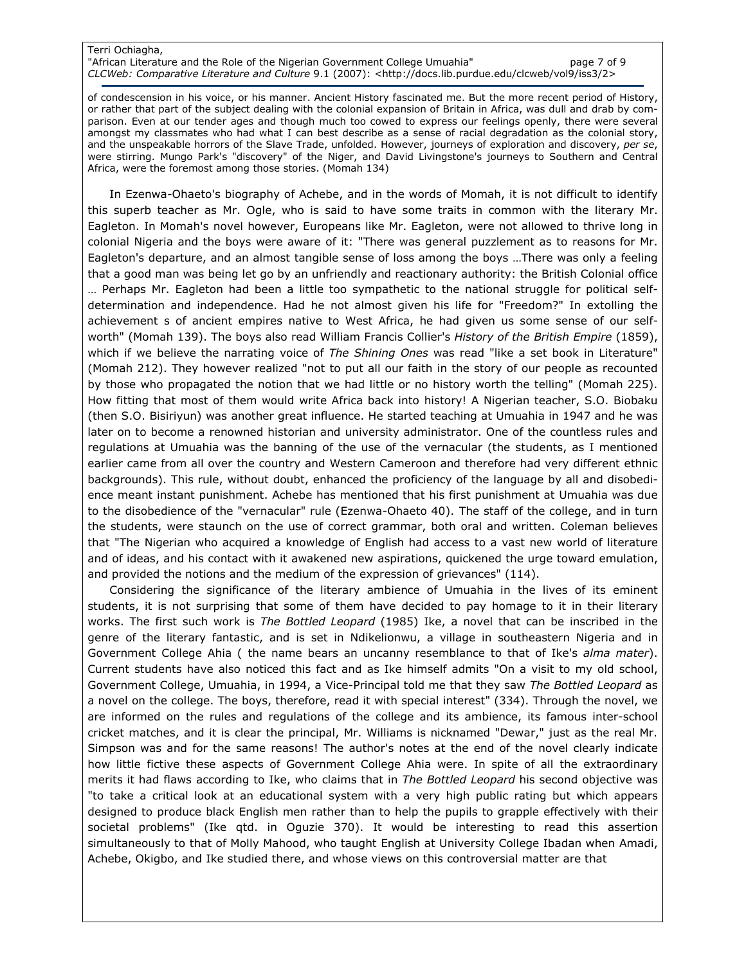#### Terri Ochiagha, "African Literature and the Role of the Nigerian Government College Umuahia" page 7 of 9 CLCWeb: Comparative Literature and Culture 9.1 (2007): <http://docs.lib.purdue.edu/clcweb/vol9/iss3/2>

of condescension in his voice, or his manner. Ancient History fascinated me. But the more recent period of History, or rather that part of the subject dealing with the colonial expansion of Britain in Africa, was dull and drab by comparison. Even at our tender ages and though much too cowed to express our feelings openly, there were several amongst my classmates who had what I can best describe as a sense of racial degradation as the colonial story, and the unspeakable horrors of the Slave Trade, unfolded. However, journeys of exploration and discovery, per se, were stirring. Mungo Park's "discovery" of the Niger, and David Livingstone's journeys to Southern and Central Africa, were the foremost among those stories. (Momah 134)

In Ezenwa-Ohaeto's biography of Achebe, and in the words of Momah, it is not difficult to identify this superb teacher as Mr. Ogle, who is said to have some traits in common with the literary Mr. Eagleton. In Momah's novel however, Europeans like Mr. Eagleton, were not allowed to thrive long in colonial Nigeria and the boys were aware of it: "There was general puzzlement as to reasons for Mr. Eagleton's departure, and an almost tangible sense of loss among the boys …There was only a feeling that a good man was being let go by an unfriendly and reactionary authority: the British Colonial office … Perhaps Mr. Eagleton had been a little too sympathetic to the national struggle for political selfdetermination and independence. Had he not almost given his life for "Freedom?" In extolling the achievement s of ancient empires native to West Africa, he had given us some sense of our selfworth" (Momah 139). The boys also read William Francis Collier's History of the British Empire (1859), which if we believe the narrating voice of The Shining Ones was read "like a set book in Literature" (Momah 212). They however realized "not to put all our faith in the story of our people as recounted by those who propagated the notion that we had little or no history worth the telling" (Momah 225). How fitting that most of them would write Africa back into history! A Nigerian teacher, S.O. Biobaku (then S.O. Bisiriyun) was another great influence. He started teaching at Umuahia in 1947 and he was later on to become a renowned historian and university administrator. One of the countless rules and regulations at Umuahia was the banning of the use of the vernacular (the students, as I mentioned earlier came from all over the country and Western Cameroon and therefore had very different ethnic backgrounds). This rule, without doubt, enhanced the proficiency of the language by all and disobedience meant instant punishment. Achebe has mentioned that his first punishment at Umuahia was due to the disobedience of the "vernacular" rule (Ezenwa-Ohaeto 40). The staff of the college, and in turn the students, were staunch on the use of correct grammar, both oral and written. Coleman believes that "The Nigerian who acquired a knowledge of English had access to a vast new world of literature and of ideas, and his contact with it awakened new aspirations, quickened the urge toward emulation, and provided the notions and the medium of the expression of grievances" (114).

Considering the significance of the literary ambience of Umuahia in the lives of its eminent students, it is not surprising that some of them have decided to pay homage to it in their literary works. The first such work is The Bottled Leopard (1985) Ike, a novel that can be inscribed in the genre of the literary fantastic, and is set in Ndikelionwu, a village in southeastern Nigeria and in Government College Ahia ( the name bears an uncanny resemblance to that of Ike's alma mater). Current students have also noticed this fact and as Ike himself admits "On a visit to my old school, Government College, Umuahia, in 1994, a Vice-Principal told me that they saw The Bottled Leopard as a novel on the college. The boys, therefore, read it with special interest" (334). Through the novel, we are informed on the rules and regulations of the college and its ambience, its famous inter-school cricket matches, and it is clear the principal, Mr. Williams is nicknamed "Dewar," just as the real Mr. Simpson was and for the same reasons! The author's notes at the end of the novel clearly indicate how little fictive these aspects of Government College Ahia were. In spite of all the extraordinary merits it had flaws according to Ike, who claims that in The Bottled Leopard his second objective was "to take a critical look at an educational system with a very high public rating but which appears designed to produce black English men rather than to help the pupils to grapple effectively with their societal problems" (Ike qtd. in Oguzie 370). It would be interesting to read this assertion simultaneously to that of Molly Mahood, who taught English at University College Ibadan when Amadi, Achebe, Okigbo, and Ike studied there, and whose views on this controversial matter are that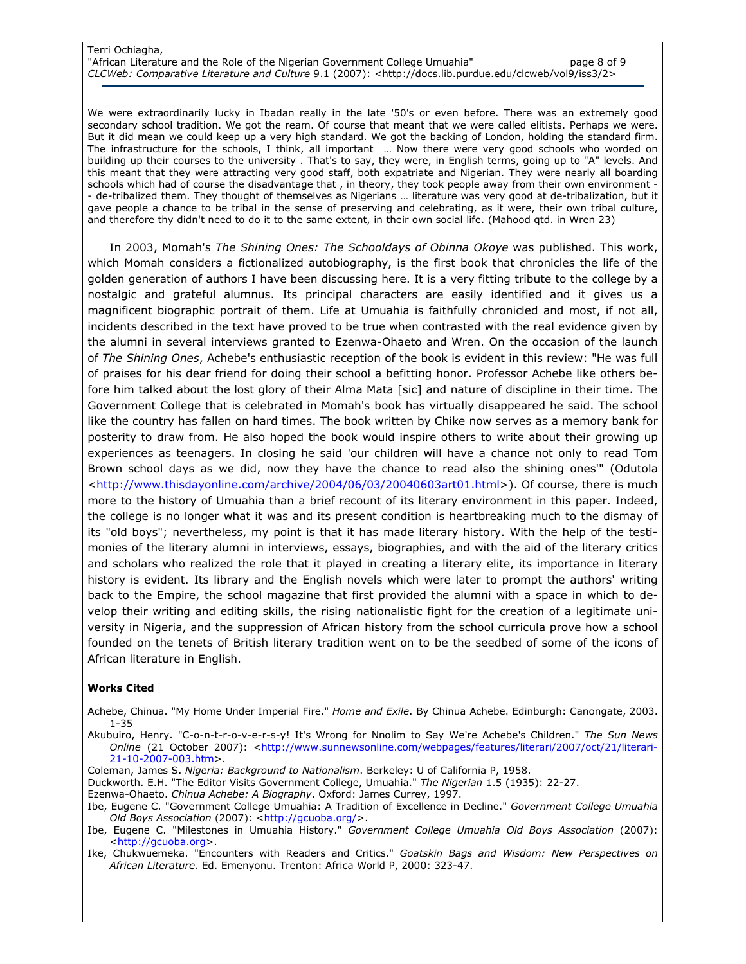#### Terri Ochiagha, "African Literature and the Role of the Nigerian Government College Umuahia" page 8 of 9 CLCWeb: Comparative Literature and Culture 9.1 (2007): <http://docs.lib.purdue.edu/clcweb/vol9/iss3/2>

We were extraordinarily lucky in Ibadan really in the late '50's or even before. There was an extremely good secondary school tradition. We got the ream. Of course that meant that we were called elitists. Perhaps we were. But it did mean we could keep up a very high standard. We got the backing of London, holding the standard firm. The infrastructure for the schools, I think, all important … Now there were very good schools who worded on building up their courses to the university . That's to say, they were, in English terms, going up to "A" levels. And this meant that they were attracting very good staff, both expatriate and Nigerian. They were nearly all boarding schools which had of course the disadvantage that , in theory, they took people away from their own environment - - de-tribalized them. They thought of themselves as Nigerians … literature was very good at de-tribalization, but it gave people a chance to be tribal in the sense of preserving and celebrating, as it were, their own tribal culture, and therefore thy didn't need to do it to the same extent, in their own social life. (Mahood qtd. in Wren 23)

In 2003, Momah's The Shining Ones: The Schooldays of Obinna Okoye was published. This work, which Momah considers a fictionalized autobiography, is the first book that chronicles the life of the golden generation of authors I have been discussing here. It is a very fitting tribute to the college by a nostalgic and grateful alumnus. Its principal characters are easily identified and it gives us a magnificent biographic portrait of them. Life at Umuahia is faithfully chronicled and most, if not all, incidents described in the text have proved to be true when contrasted with the real evidence given by the alumni in several interviews granted to Ezenwa-Ohaeto and Wren. On the occasion of the launch of The Shining Ones, Achebe's enthusiastic reception of the book is evident in this review: "He was full of praises for his dear friend for doing their school a befitting honor. Professor Achebe like others before him talked about the lost glory of their Alma Mata [sic] and nature of discipline in their time. The Government College that is celebrated in Momah's book has virtually disappeared he said. The school like the country has fallen on hard times. The book written by Chike now serves as a memory bank for posterity to draw from. He also hoped the book would inspire others to write about their growing up experiences as teenagers. In closing he said 'our children will have a chance not only to read Tom Brown school days as we did, now they have the chance to read also the shining ones'" (Odutola <http://www.thisdayonline.com/archive/2004/06/03/20040603art01.html>). Of course, there is much more to the history of Umuahia than a brief recount of its literary environment in this paper. Indeed, the college is no longer what it was and its present condition is heartbreaking much to the dismay of its "old boys"; nevertheless, my point is that it has made literary history. With the help of the testimonies of the literary alumni in interviews, essays, biographies, and with the aid of the literary critics and scholars who realized the role that it played in creating a literary elite, its importance in literary history is evident. Its library and the English novels which were later to prompt the authors' writing back to the Empire, the school magazine that first provided the alumni with a space in which to develop their writing and editing skills, the rising nationalistic fight for the creation of a legitimate university in Nigeria, and the suppression of African history from the school curricula prove how a school founded on the tenets of British literary tradition went on to be the seedbed of some of the icons of African literature in English.

### Works Cited

Achebe, Chinua. "My Home Under Imperial Fire." Home and Exile. By Chinua Achebe. Edinburgh: Canongate, 2003. 1-35

Akubuiro, Henry. "C-o-n-t-r-o-v-e-r-s-y! It's Wrong for Nnolim to Say We're Achebe's Children." The Sun News Online (21 October 2007): <http://www.sunnewsonline.com/webpages/features/literari/2007/oct/21/literari-21-10-2007-003.htm>.

Coleman, James S. Nigeria: Background to Nationalism. Berkeley: U of California P, 1958.

Duckworth. E.H. "The Editor Visits Government College, Umuahia." The Nigerian 1.5 (1935): 22-27.

Ezenwa-Ohaeto. Chinua Achebe: A Biography. Oxford: James Currey, 1997.

Ibe, Eugene C. "Government College Umuahia: A Tradition of Excellence in Decline." Government College Umuahia Old Boys Association (2007): <http://gcuoba.org/>.

Ibe, Eugene C. "Milestones in Umuahia History." Government College Umuahia Old Boys Association (2007): <http://gcuoba.org>.

Ike, Chukwuemeka. "Encounters with Readers and Critics." Goatskin Bags and Wisdom: New Perspectives on African Literature. Ed. Emenyonu. Trenton: Africa World P, 2000: 323-47.